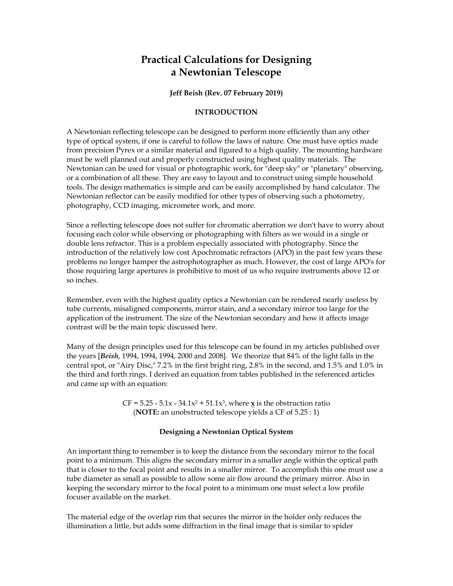# **Practical Calculations for Designing a Newtonian Telescope**

**Jeff Beish (Rev. 07 February 2019)** 

## **INTRODUCTION**

A Newtonian reflecting telescope can be designed to perform more efficiently than any other type of optical system, if one is careful to follow the laws of nature. One must have optics made from precision Pyrex or a similar material and figured to a high quality. The mounting hardware must be well planned out and properly constructed using highest quality materials. The Newtonian can be used for visual or photographic work, for "deep sky" or "planetary" observing, or a combination of all these. They are easy to layout and to construct using simple household tools. The design mathematics is simple and can be easily accomplished by hand calculator. The Newtonian reflector can be easily modified for other types of observing such a photometry, photography, CCD imaging, micrometer work, and more.

Since a reflecting telescope does not suffer for chromatic aberration we don't have to worry about focusing each color while observing or photographing with filters as we would in a single or double lens refractor. This is a problem especially associated with photography. Since the introduction of the relatively low cost Apochromatic refractors (APO) in the past few years these problems no longer hamper the astrophotographer as much. However, the cost of large APO's for those requiring large apertures is prohibitive to most of us who require instruments above 12 or so inches.

Remember, even with the highest quality optics a Newtonian can be rendered nearly useless by tube currents, misaligned components, mirror stain, and a secondary mirror too large for the application of the instrument. The size of the Newtonian secondary and how it affects image contrast will be the main topic discussed here.

Many of the design principles used for this telescope can be found in my articles published over the years [*Beish*, 1994, 1994, 1994, 2000 and 2008]. We theorize that 84% of the light falls in the central spot, or "Airy Disc," 7.2% in the first bright ring, 2.8% in the second, and 1.5% and 1.0% in the third and forth rings. I derived an equation from tables published in the referenced articles and came up with an equation:

> $CF = 5.25 - 5.1x - 34.1x^2 + 51.1x^3$ , where  $\underline{x}$  is the obstruction ratio (**NOTE:** an unobstructed telescope yields a CF of 5.25 : 1)

## **Designing a Newtonian Optical System**

An important thing to remember is to keep the distance from the secondary mirror to the focal point to a minimum. This aligns the secondary mirror in a smaller angle within the optical path that is closer to the focal point and results in a smaller mirror. To accomplish this one must use a tube diameter as small as possible to allow some air flow around the primary mirror. Also in keeping the secondary mirror to the focal point to a minimum one must select a low profile focuser available on the market.

The material edge of the overlap rim that secures the mirror in the holder only reduces the illumination a little, but adds some diffraction in the final image that is similar to spider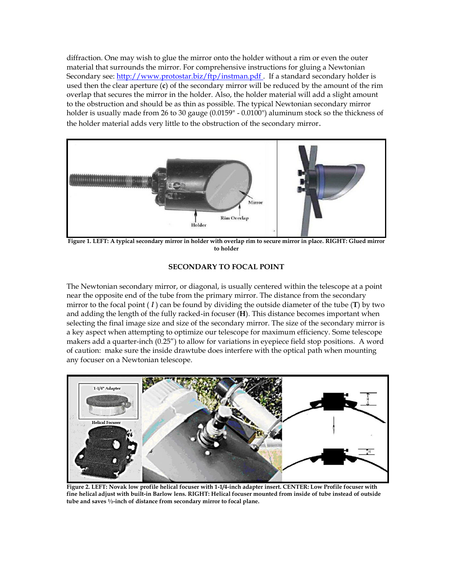diffraction. One may wish to glue the mirror onto the holder without a rim or even the outer material that surrounds the mirror. For comprehensive instructions for gluing a Newtonian Secondary see[: http://www.protostar.biz/ftp/instman.pdf .](http://www.protostar.biz/ftp/instman.pdf) If a standard secondary holder is used then the clear aperture (**c**) of the secondary mirror will be reduced by the amount of the rim overlap that secures the mirror in the holder. Also, the holder material will add a slight amount to the obstruction and should be as thin as possible. The typical Newtonian secondary mirror holder is usually made from 26 to 30 gauge (0.0159" - 0.0100") aluminum stock so the thickness of the holder material adds very little to the obstruction of the secondary mirror.



**Figure 1. LEFT: A typical secondary mirror in holder with overlap rim to secure mirror in place. RIGHT: Glued mirror to holder**

# **SECONDARY TO FOCAL POINT**

The Newtonian secondary mirror, or diagonal, is usually centered within the telescope at a point near the opposite end of the tube from the primary mirror. The distance from the secondary mirror to the focal point ( *l* ) can be found by dividing the outside diameter of the tube (**T**) by two and adding the length of the fully racked-in focuser (**H**). This distance becomes important when selecting the final image size and size of the secondary mirror. The size of the secondary mirror is a key aspect when attempting to optimize our telescope for maximum efficiency. Some telescope makers add a quarter-inch (0.25") to allow for variations in eyepiece field stop positions. A word of caution: make sure the inside drawtube does interfere with the optical path when mounting any focuser on a Newtonian telescope.



**Figure 2. LEFT: Novak low profile helical focuser with 1-1/4-inch adapter insert. CENTER: Low Profile focuser with fine helical adjust with built-in Barlow lens. RIGHT: Helical focuser mounted from inside of tube instead of outside tube and saves ½-inch of distance from secondary mirror to focal plane.**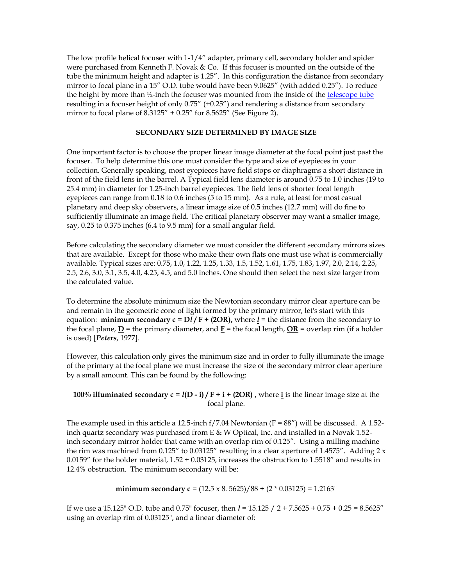The low profile helical focuser with 1-1/4" adapter, primary cell, secondary holder and spider were purchased from Kenneth F. Novak & Co. If this focuser is mounted on the outside of the tube the minimum height and adapter is 1.25". In this configuration the distance from secondary mirror to focal plane in a 15" O.D. tube would have been 9.0625" (with added 0.25"). To reduce the height by more than ½-inch the focuser was mounted from the inside of the [telescope tube](http://www.alpo-astronomy.org/jbeish/Tel_Tube.pdf) resulting in a focuser height of only 0.75" (+0.25") and rendering a distance from secondary mirror to focal plane of 8.3125" + 0.25" for 8.5625" (See Figure 2).

### **SECONDARY SIZE DETERMINED BY IMAGE SIZE**

One important factor is to choose the proper linear image diameter at the focal point just past the focuser. To help determine this one must consider the type and size of eyepieces in your collection. Generally speaking, most eyepieces have field stops or diaphragms a short distance in front of the field lens in the barrel. A Typical field lens diameter is around 0.75 to 1.0 inches (19 to 25.4 mm) in diameter for 1.25-inch barrel eyepieces. The field lens of shorter focal length eyepieces can range from 0.18 to 0.6 inches (5 to 15 mm). As a rule, at least for most casual planetary and deep sky observers, a linear image size of 0.5 inches (12.7 mm) will do fine to sufficiently illuminate an image field. The critical planetary observer may want a smaller image, say, 0.25 to 0.375 inches (6.4 to 9.5 mm) for a small angular field.

Before calculating the secondary diameter we must consider the different secondary mirrors sizes that are available. Except for those who make their own flats one must use what is commercially available. Typical sizes are: 0.75, 1.0, 1.22, 1.25, 1.33, 1.5, 1.52, 1.61, 1.75, 1.83, 1.97, 2.0, 2.14, 2.25, 2.5, 2.6, 3.0, 3.1, 3.5, 4.0, 4.25, 4.5, and 5.0 inches. One should then select the next size larger from the calculated value.

To determine the absolute minimum size the Newtonian secondary mirror clear aperture can be and remain in the geometric cone of light formed by the primary mirror, let's start with this equation: **minimum secondary**  $c = Dl/F + (2OR)$ , where  $l =$  the distance from the secondary to the focal plane,  $D =$  the primary diameter, and  $F =$  the focal length,  $OR =$  overlap rim (if a holder is used) [*Peters*, 1977].

However, this calculation only gives the minimum size and in order to fully illuminate the image of the primary at the focal plane we must increase the size of the secondary mirror clear aperture by a small amount. This can be found by the following:

## **100% illuminated secondary**  $c = l(D - i) / F + i + (2OR)$ **, where** *i* **is the linear image size at the** focal plane.

The example used in this article a 12.5-inch  $f/7.04$  Newtonian  $(F = 88'')$  will be discussed. A 1.52inch quartz secondary was purchased from E & W Optical, Inc. and installed in a Novak 1.52 inch secondary mirror holder that came with an overlap rim of 0.125". Using a milling machine the rim was machined from 0.125" to 0.03125" resulting in a clear aperture of 1.4575". Adding  $2 \times$ 0.0159" for the holder material, 1.52 + 0.03125, increases the obstruction to 1.5518" and results in 12.4% obstruction. The minimum secondary will be:

minimum secondary 
$$
c = (12.5 \times 8.5625)/88 + (2 * 0.03125) = 1.2163
$$
"

If we use a 15.125" O.D. tube and 0.75" focuser, then *l* = 15.125 / 2 + 7.5625 + 0.75 + 0.25 = 8.5625" using an overlap rim of 0.03125", and a linear diameter of: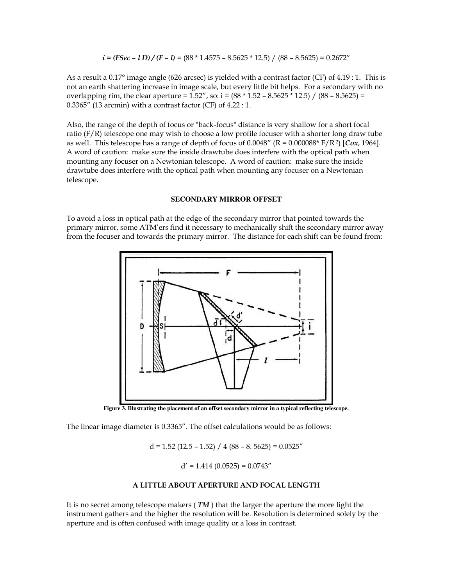$$
i = (FSec - l\ D)/(F - l) = (88 * 1.4575 - 8.5625 * 12.5) / (88 - 8.5625) = 0.2672''
$$

As a result a 0.17° image angle (626 arcsec) is yielded with a contrast factor (CF) of 4.19 : 1. This is not an earth shattering increase in image scale, but every little bit helps. For a secondary with no overlapping rim, the clear aperture =  $1.52''$ , so: i =  $(88 * 1.52 - 8.5625 * 12.5) / (88 - 8.5625)$  =  $0.3365''$  (13 arcmin) with a contrast factor (CF) of  $4.22:1$ .

Also, the range of the depth of focus or "back-focus" distance is very shallow for a short focal ratio (F/R) telescope one may wish to choose a low profile focuser with a shorter long draw tube as well. This telescope has a range of depth of focus of 0.0048" (R = 0.000088\* F/R<sup>2</sup>) [*Cox*, 1964]. A word of caution: make sure the inside drawtube does interfere with the optical path when mounting any focuser on a Newtonian telescope. A word of caution: make sure the inside drawtube does interfere with the optical path when mounting any focuser on a Newtonian telescope.

#### **SECONDARY MIRROR OFFSET**

To avoid a loss in optical path at the edge of the secondary mirror that pointed towards the primary mirror, some ATM'ers find it necessary to mechanically shift the secondary mirror away from the focuser and towards the primary mirror. The distance for each shift can be found from:



**Figure 3. Illustrating the placement of an offset secondary mirror in a typical reflecting telescope.**

The linear image diameter is 0.3365". The offset calculations would be as follows:

 $d = 1.52$  (12.5 – 1.52) / 4 (88 – 8. 5625) = 0.0525"

 $d' = 1.414 (0.0525) = 0.0743''$ 

#### **A LITTLE ABOUT APERTURE AND FOCAL LENGTH**

It is no secret among telescope makers ( *TM* ) that the larger the aperture the more light the instrument gathers and the higher the resolution will be. Resolution is determined solely by the aperture and is often confused with image quality or a loss in contrast.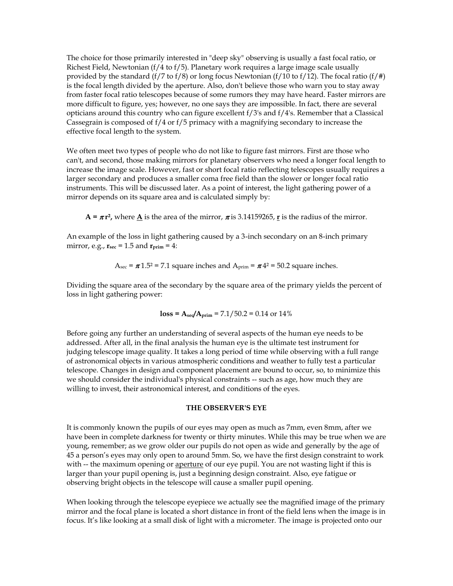The choice for those primarily interested in "deep sky" observing is usually a fast focal ratio, or Richest Field, Newtonian  $(f/4 \text{ to } f/5)$ . Planetary work requires a large image scale usually provided by the standard (f/7 to f/8) or long focus Newtonian (f/10 to f/12). The focal ratio (f/#) is the focal length divided by the aperture. Also, don't believe those who warn you to stay away from faster focal ratio telescopes because of some rumors they may have heard. Faster mirrors are more difficult to figure, yes; however, no one says they are impossible. In fact, there are several opticians around this country who can figure excellent f/3's and f/4's. Remember that a Classical Cassegrain is composed of f/4 or f/5 primacy with a magnifying secondary to increase the effective focal length to the system.

We often meet two types of people who do not like to figure fast mirrors. First are those who can't, and second, those making mirrors for planetary observers who need a longer focal length to increase the image scale. However, fast or short focal ratio reflecting telescopes usually requires a larger secondary and produces a smaller coma free field than the slower or longer focal ratio instruments. This will be discussed later. As a point of interest, the light gathering power of a mirror depends on its square area and is calculated simply by:

 $A = \pi r^2$ , where **A** is the area of the mirror,  $\pi$  is 3.14159265, **r** is the radius of the mirror.

An example of the loss in light gathering caused by a 3-inch secondary on an 8-inch primary mirror, e.g.,  $r_{\text{sec}} = 1.5$  and  $r_{\text{prim}} = 4$ :

$$
A_{\text{sec}} = \pi 1.5^2 = 7.1
$$
 square inches and  $A_{\text{prim}} = \pi 4^2 = 50.2$  square inches.

Dividing the square area of the secondary by the square area of the primary yields the percent of loss in light gathering power:

$$
loss = A_{\text{sec}}/A_{\text{prim}} = 7.1/50.2 = 0.14 \text{ or } 14\%
$$

Before going any further an understanding of several aspects of the human eye needs to be addressed. After all, in the final analysis the human eye is the ultimate test instrument for judging telescope image quality. It takes a long period of time while observing with a full range of astronomical objects in various atmospheric conditions and weather to fully test a particular telescope. Changes in design and component placement are bound to occur, so, to minimize this we should consider the individual's physical constraints -- such as age, how much they are willing to invest, their astronomical interest, and conditions of the eyes.

#### **THE OBSERVER'S EYE**

It is commonly known the pupils of our eyes may open as much as 7mm, even 8mm, after we have been in complete darkness for twenty or thirty minutes. While this may be true when we are young, remember; as we grow older our pupils do not open as wide and generally by the age of 45 a person's eyes may only open to around 5mm. So, we have the first design constraint to work with -- the maximum opening or aperture of our eye pupil. You are not wasting light if this is larger than your pupil opening is, just a beginning design constraint. Also, eye fatigue or observing bright objects in the telescope will cause a smaller pupil opening.

When looking through the telescope eyepiece we actually see the magnified image of the primary mirror and the focal plane is located a short distance in front of the field lens when the image is in focus. It's like looking at a small disk of light with a micrometer. The image is projected onto our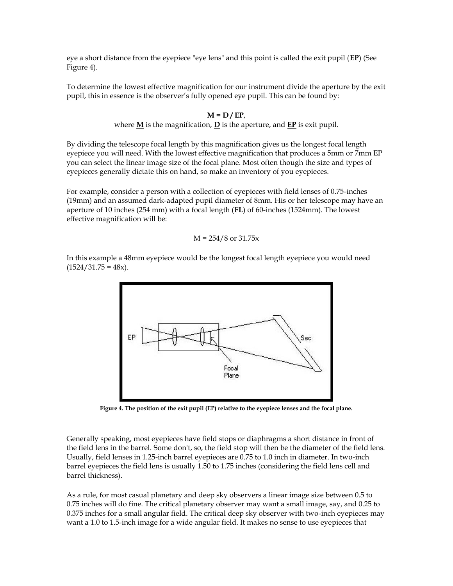eye a short distance from the eyepiece "eye lens" and this point is called the exit pupil (**EP**) (See Figure 4).

To determine the lowest effective magnification for our instrument divide the aperture by the exit pupil, this in essence is the observer's fully opened eye pupil. This can be found by:

#### **M = D / EP**,

where  $M$  is the magnification,  $D$  is the aperture, and  $E$ **P** is exit pupil.

By dividing the telescope focal length by this magnification gives us the longest focal length eyepiece you will need. With the lowest effective magnification that produces a 5mm or 7mm EP you can select the linear image size of the focal plane. Most often though the size and types of eyepieces generally dictate this on hand, so make an inventory of you eyepieces.

For example, consider a person with a collection of eyepieces with field lenses of 0.75-inches (19mm) and an assumed dark-adapted pupil diameter of 8mm. His or her telescope may have an aperture of 10 inches (254 mm) with a focal length (**FL**) of 60-inches (1524mm). The lowest effective magnification will be:

$$
M = 254/8
$$
 or 31.75x

In this example a 48mm eyepiece would be the longest focal length eyepiece you would need  $(1524/31.75 = 48x)$ .



**Figure 4. The position of the exit pupil (EP) relative to the eyepiece lenses and the focal plane.** 

Generally speaking, most eyepieces have field stops or diaphragms a short distance in front of the field lens in the barrel. Some don't, so, the field stop will then be the diameter of the field lens. Usually, field lenses in 1.25-inch barrel eyepieces are 0.75 to 1.0 inch in diameter. In two-inch barrel eyepieces the field lens is usually 1.50 to 1.75 inches (considering the field lens cell and barrel thickness).

As a rule, for most casual planetary and deep sky observers a linear image size between 0.5 to 0.75 inches will do fine. The critical planetary observer may want a small image, say, and 0.25 to 0.375 inches for a small angular field. The critical deep sky observer with two-inch eyepieces may want a 1.0 to 1.5-inch image for a wide angular field. It makes no sense to use eyepieces that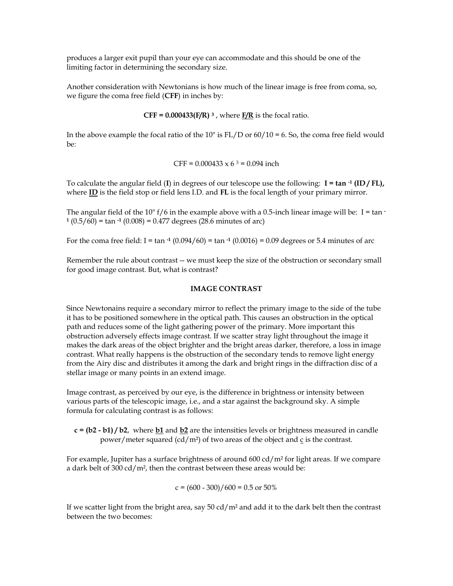produces a larger exit pupil than your eye can accommodate and this should be one of the limiting factor in determining the secondary size.

Another consideration with Newtonians is how much of the linear image is free from coma, so, we figure the coma free field (**CFF**) in inches by:

**CFF = 0.000433(F/R)**  $^3$ , where  $_F$ /**R** is the focal ratio.

In the above example the focal ratio of the 10" is  $FL/D$  or  $60/10 = 6$ . So, the coma free field would be:

CFF = 
$$
0.000433 \times 6^3 = 0.094
$$
 inch

To calculate the angular field (**I**) in degrees of our telescope use the following: **I = tan -1 (ID / FL),**  where **ID** is the field stop or field lens I.D. and **FL** is the focal length of your primary mirror.

The angular field of the 10"  $f/6$  in the example above with a 0.5-inch linear image will be: I = tan  $\cdot$ **1** (0.5/60) = tan **-1** (0.008) = 0.477 degrees (28.6 minutes of arc)

For the coma free field:  $I = \tan^{-1}(0.094/60) = \tan^{-1}(0.0016) = 0.09$  degrees or 5.4 minutes of arc

Remember the rule about contrast -- we must keep the size of the obstruction or secondary small for good image contrast. But, what is contrast?

## **IMAGE CONTRAST**

Since Newtonains require a secondary mirror to reflect the primary image to the side of the tube it has to be positioned somewhere in the optical path. This causes an obstruction in the optical path and reduces some of the light gathering power of the primary. More important this obstruction adversely effects image contrast. If we scatter stray light throughout the image it makes the dark areas of the object brighter and the bright areas darker, therefore, a loss in image contrast. What really happens is the obstruction of the secondary tends to remove light energy from the Airy disc and distributes it among the dark and bright rings in the diffraction disc of a stellar image or many points in an extend image.

Image contrast, as perceived by our eye, is the difference in brightness or intensity between various parts of the telescopic image, i.e., and a star against the background sky. A simple formula for calculating contrast is as follows:

**c = (b2 - b1) / b2**, where **b1** and **b2** are the intensities levels or brightness measured in candle power/meter squared (cd/m²) of two areas of the object and c is the contrast.

For example, Jupiter has a surface brightness of around 600 cd/m<sup>2</sup> for light areas. If we compare a dark belt of 300 cd/m<sup>2</sup>, then the contrast between these areas would be:

$$
c = (600 - 300) / 600 = 0.5 \text{ or } 50\%
$$

If we scatter light from the bright area, say 50 cd/m<sup>2</sup> and add it to the dark belt then the contrast between the two becomes: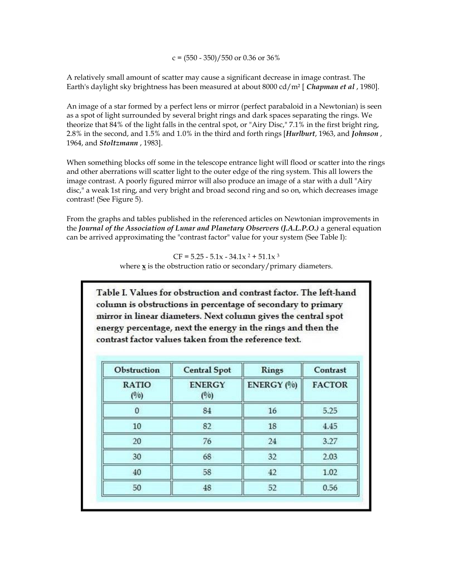$c = (550 - 350)/550$  or 0.36 or 36%

A relatively small amount of scatter may cause a significant decrease in image contrast. The Earth's daylight sky brightness has been measured at about 8000 cd/m² [ *Chapman et al* , 1980].

An image of a star formed by a perfect lens or mirror (perfect parabaloid in a Newtonian) is seen as a spot of light surrounded by several bright rings and dark spaces separating the rings. We theorize that 84% of the light falls in the central spot, or "Airy Disc," 7.1% in the first bright ring, 2.8% in the second, and 1.5% and 1.0% in the third and forth rings [*Hurlburt*, 1963, and *Johnson* , 1964, and *Stoltzmann* , 1983].

When something blocks off some in the telescope entrance light will flood or scatter into the rings and other aberrations will scatter light to the outer edge of the ring system. This all lowers the image contrast. A poorly figured mirror will also produce an image of a star with a dull "Airy disc," a weak 1st ring, and very bright and broad second ring and so on, which decreases image contrast! (See Figure 5).

From the graphs and tables published in the referenced articles on Newtonian improvements in the *Journal of the Association of Lunar and Planetary Observers (J.A.L.P.O.)* a general equation can be arrived approximating the "contrast factor" value for your system (See Table I):

> $CF = 5.25 - 5.1x - 34.1x^2 + 51.1x^3$ where **x** is the obstruction ratio or secondary/primary diameters.

Table I. Values for obstruction and contrast factor. The left-hand column is obstructions in percentage of secondary to primary mirror in linear diameters. Next column gives the central spot energy percentage, next the energy in the rings and then the contrast factor values taken from the reference text.

| Obstruction           | <b>Central Spot</b>    | <b>Rings</b> | Contrast      |
|-----------------------|------------------------|--------------|---------------|
| <b>RATIO</b><br>(°/°) | <b>ENERGY</b><br>(0/0) | ENERGY (%)   | <b>FACTOR</b> |
| $\Omega$              | 84                     | 16           | 5.25          |
| 10                    | 82                     | 18           | 4.45          |
| 20                    | 76                     | 24           | 3.27          |
| 30                    | 68                     | 32           | 2.03          |
| 40                    | 58                     | 42           | 1.02          |
| 50                    | 48                     | 52           | 0.56          |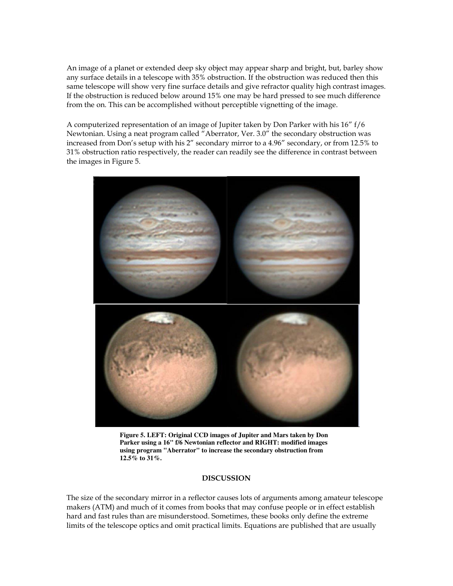An image of a planet or extended deep sky object may appear sharp and bright, but, barley show any surface details in a telescope with 35% obstruction. If the obstruction was reduced then this same telescope will show very fine surface details and give refractor quality high contrast images. If the obstruction is reduced below around 15% one may be hard pressed to see much difference from the on. This can be accomplished without perceptible vignetting of the image.

A computerized representation of an image of Jupiter taken by Don Parker with his 16" f/6 Newtonian. Using a neat program called "Aberrator, Ver. 3.0" the secondary obstruction was increased from Don's setup with his 2" secondary mirror to a 4.96" secondary, or from 12.5% to 31% obstruction ratio respectively, the reader can readily see the difference in contrast between the images in Figure 5.



**Figure 5. LEFT: Original CCD images of Jupiter and Mars taken by Don Parker using a 16" f/6 Newtonian reflector and RIGHT: modified images using program "Aberrator" to increase the secondary obstruction from 12.5% to 31%.** 

# **DISCUSSION**

The size of the secondary mirror in a reflector causes lots of arguments among amateur telescope makers (ATM) and much of it comes from books that may confuse people or in effect establish hard and fast rules than are misunderstood. Sometimes, these books only define the extreme limits of the telescope optics and omit practical limits. Equations are published that are usually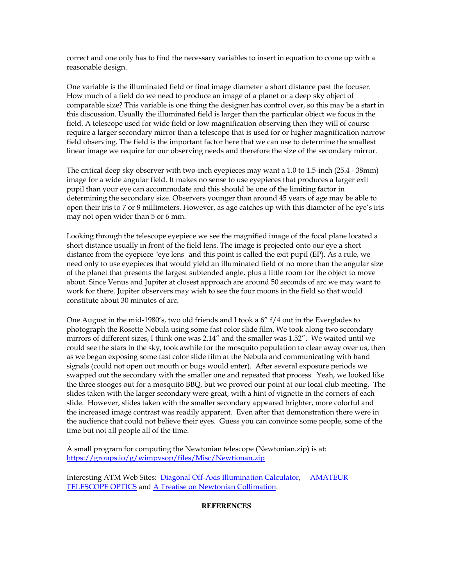correct and one only has to find the necessary variables to insert in equation to come up with a reasonable design.

One variable is the illuminated field or final image diameter a short distance past the focuser. How much of a field do we need to produce an image of a planet or a deep sky object of comparable size? This variable is one thing the designer has control over, so this may be a start in this discussion. Usually the illuminated field is larger than the particular object we focus in the field. A telescope used for wide field or low magnification observing then they will of course require a larger secondary mirror than a telescope that is used for or higher magnification narrow field observing. The field is the important factor here that we can use to determine the smallest linear image we require for our observing needs and therefore the size of the secondary mirror.

The critical deep sky observer with two-inch eyepieces may want a 1.0 to 1.5-inch (25.4 - 38mm) image for a wide angular field. It makes no sense to use eyepieces that produces a larger exit pupil than your eye can accommodate and this should be one of the limiting factor in determining the secondary size. Observers younger than around 45 years of age may be able to open their iris to 7 or 8 millimeters. However, as age catches up with this diameter of he eye's iris may not open wider than 5 or 6 mm.

Looking through the telescope eyepiece we see the magnified image of the focal plane located a short distance usually in front of the field lens. The image is projected onto our eye a short distance from the eyepiece "eye lens" and this point is called the exit pupil (EP). As a rule, we need only to use eyepieces that would yield an illuminated field of no more than the angular size of the planet that presents the largest subtended angle, plus a little room for the object to move about. Since Venus and Jupiter at closest approach are around 50 seconds of arc we may want to work for there. Jupiter observers may wish to see the four moons in the field so that would constitute about 30 minutes of arc.

One August in the mid-1980's, two old friends and I took a  $6''$  f/4 out in the Everglades to photograph the Rosette Nebula using some fast color slide film. We took along two secondary mirrors of different sizes, I think one was 2.14" and the smaller was 1.52". We waited until we could see the stars in the sky, took awhile for the mosquito population to clear away over us, then as we began exposing some fast color slide film at the Nebula and communicating with hand signals (could not open out mouth or bugs would enter). After several exposure periods we swapped out the secondary with the smaller one and repeated that process. Yeah, we looked like the three stooges out for a mosquito BBQ, but we proved our point at our local club meeting. The slides taken with the larger secondary were great, with a hint of vignette in the corners of each slide. However, slides taken with the smaller secondary appeared brighter, more colorful and the increased image contrast was readily apparent. Even after that demonstration there were in the audience that could not believe their eyes. Guess you can convince some people, some of the time but not all people all of the time.

A small program for computing the Newtonian telescope (Newtonian.zip) is at: <https://groups.io/g/wimpvsop/files/Misc/Newtionan.zip>

Interesting ATM Web Sites: [Diagonal Off-Axis Illumination Calculator,](http://www.bbastrodesigns.com/diagonal.htm) [AMATEUR](http://www.telescope-optics.net/index.htm)  [TELESCOPE OPTICS](http://www.telescope-optics.net/index.htm) and [A Treatise on Newtonian Collimation.](http://www.catseyecollimation.com/mccluney.html) 

### **REFERENCES**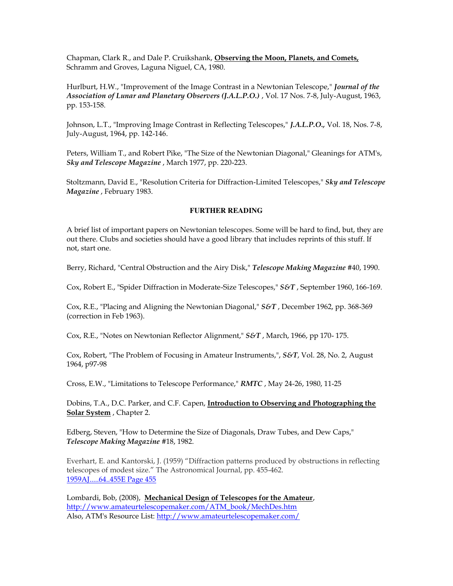Chapman, Clark R., and Dale P. Cruikshank, **Observing the Moon, Planets, and Comets,**  Schramm and Groves, Laguna Niguel, CA, 1980.

Hurlburt, H.W., "Improvement of the Image Contrast in a Newtonian Telescope," *Journal of the Association of Lunar and Planetary Observers (J.A.L.P.O.)* , Vol. 17 Nos. 7-8, July-August, 1963, pp. 153-158.

Johnson, L.T., "Improving Image Contrast in Reflecting Telescopes," *J.A.L.P.O.,* Vol. 18, Nos. 7-8, July-August, 1964, pp. 142-146.

Peters, William T., and Robert Pike, "The Size of the Newtonian Diagonal," Gleanings for ATM's, *Sky and Telescope Magazine* , March 1977, pp. 220-223.

Stoltzmann, David E., "Resolution Criteria for Diffraction-Limited Telescopes," *Sky and Telescope Magazine* , February 1983.

#### **FURTHER READING**

A brief list of important papers on Newtonian telescopes. Some will be hard to find, but, they are out there. Clubs and societies should have a good library that includes reprints of this stuff. If not, start one.

Berry, Richard, "Central Obstruction and the Airy Disk," *Telescope Making Magazine* #40, 1990.

Cox, Robert E., "Spider Diffraction in Moderate-Size Telescopes," *S&T* , September 1960, 166-169.

Cox, R.E., "Placing and Aligning the Newtonian Diagonal," *S&T* , December 1962, pp. 368-369 (correction in Feb 1963).

Cox, R.E., "Notes on Newtonian Reflector Alignment," *S&T* , March, 1966, pp 170- 175.

Cox, Robert, "The Problem of Focusing in Amateur Instruments,", *S&T*, Vol. 28, No. 2, August 1964, p97-98

Cross, E.W., "Limitations to Telescope Performance," *RMTC* , May 24-26, 1980, 11-25

Dobins, T.A., D.C. Parker, and C.F. Capen, **Introduction to Observing and Photographing the Solar System** , Chapter 2.

Edberg, Steven, "How to Determine the Size of Diagonals, Draw Tubes, and Dew Caps," *Telescope Making Magazine* #18, 1982.

Everhart, E. and Kantorski, J. (1959) "Diffraction patterns produced by obstructions in reflecting telescopes of modest size." The Astronomical Journal, pp. 455-462. [1959AJ.....64..455E Page 455](http://adsabs.harvard.edu/full/1959AJ.....64..455E)

Lombardi, Bob, (2008), **Mechanical Design of Telescopes for the Amateur**, [http://www.amateurtelescopemaker.com/ATM\\_book/MechDes.htm](http://www.amateurtelescopemaker.com/ATM_book/MechDes.htm) Also, ATM's Resource List:<http://www.amateurtelescopemaker.com/>